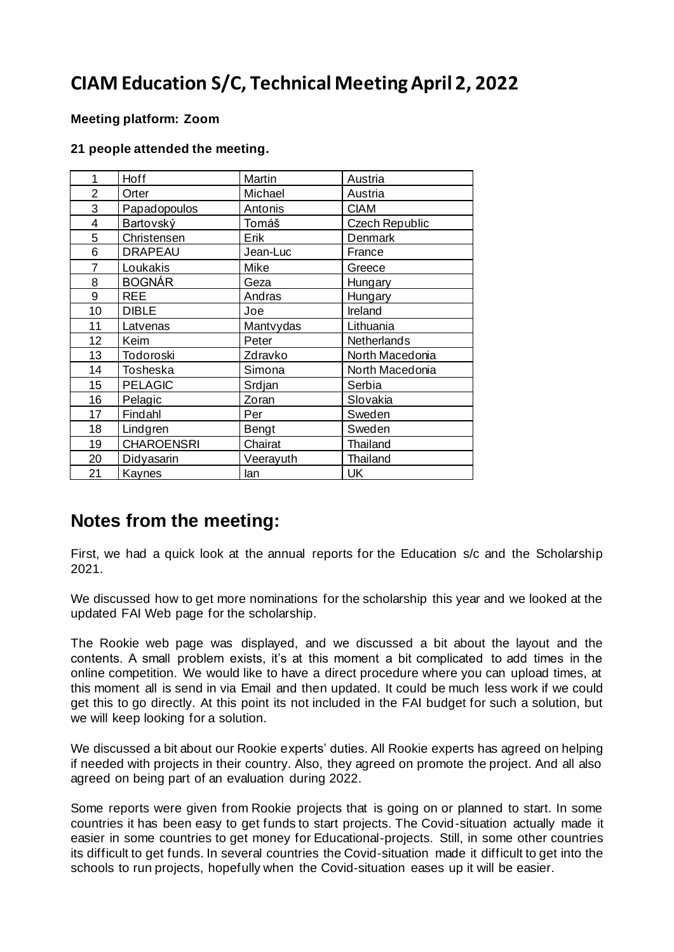# **CIAM Education S/C, Technical Meeting April 2, 2022**

### **Meeting platform: Zoom**

#### **21 people attended the meeting.**

| 1              | Hoff              | Martin    | Austria         |
|----------------|-------------------|-----------|-----------------|
| $\overline{2}$ | Orter             | Michael   | Austria         |
| 3              | Papadopoulos      | Antonis   | <b>CIAM</b>     |
| 4              | Bartovský         | Tomáš     | Czech Republic  |
| 5              | Christensen       | Erik      | Denmark         |
| 6              | <b>DRAPEAU</b>    | Jean-Luc  | France          |
| 7              | Loukakis          | Mike      | Greece          |
| 8              | <b>BOGNÁR</b>     | Geza      | Hungary         |
| 9              | <b>REE</b>        | Andras    | Hungary         |
| 10             | <b>DIBLE</b>      | Joe       | Ireland         |
| 11             | Latvenas          | Mantvydas | Lithuania       |
| 12             | Keim              | Peter     | Netherlands     |
| 13             | Todoroski         | Zdravko   | North Macedonia |
| 14             | Tosheska          | Simona    | North Macedonia |
| 15             | <b>PELAGIC</b>    | Srdjan    | Serbia          |
| 16             | Pelagic           | Zoran     | Slovakia        |
| 17             | Findahl           | Per       | Sweden          |
| 18             | Lindgren          | Bengt     | Sweden          |
| 19             | <b>CHAROENSRI</b> | Chairat   | Thailand        |
| 20             | Didyasarin        | Veerayuth | Thailand        |
| 21             | Kaynes            | lan       | <b>UK</b>       |

## **Notes from the meeting:**

First, we had a quick look at the annual reports for the Education s/c and the Scholarship 2021.

We discussed how to get more nominations for the scholarship this year and we looked at the updated FAI Web page for the scholarship.

The Rookie web page was displayed, and we discussed a bit about the layout and the contents. A small problem exists, it's at this moment a bit complicated to add times in the online competition. We would like to have a direct procedure where you can upload times, at this moment all is send in via Email and then updated. It could be much less work if we could get this to go directly. At this point its not included in the FAI budget for such a solution, but we will keep looking for a solution.

We discussed a bit about our Rookie experts' duties. All Rookie experts has agreed on helping if needed with projects in their country. Also, they agreed on promote the project. And all also agreed on being part of an evaluation during 2022.

Some reports were given from Rookie projects that is going on or planned to start. In some countries it has been easy to get funds to start projects. The Covid-situation actually made it easier in some countries to get money for Educational-projects. Still, in some other countries its difficult to get funds. In several countries the Covid-situation made it difficult to get into the schools to run projects, hopefully when the Covid-situation eases up it will be easier.